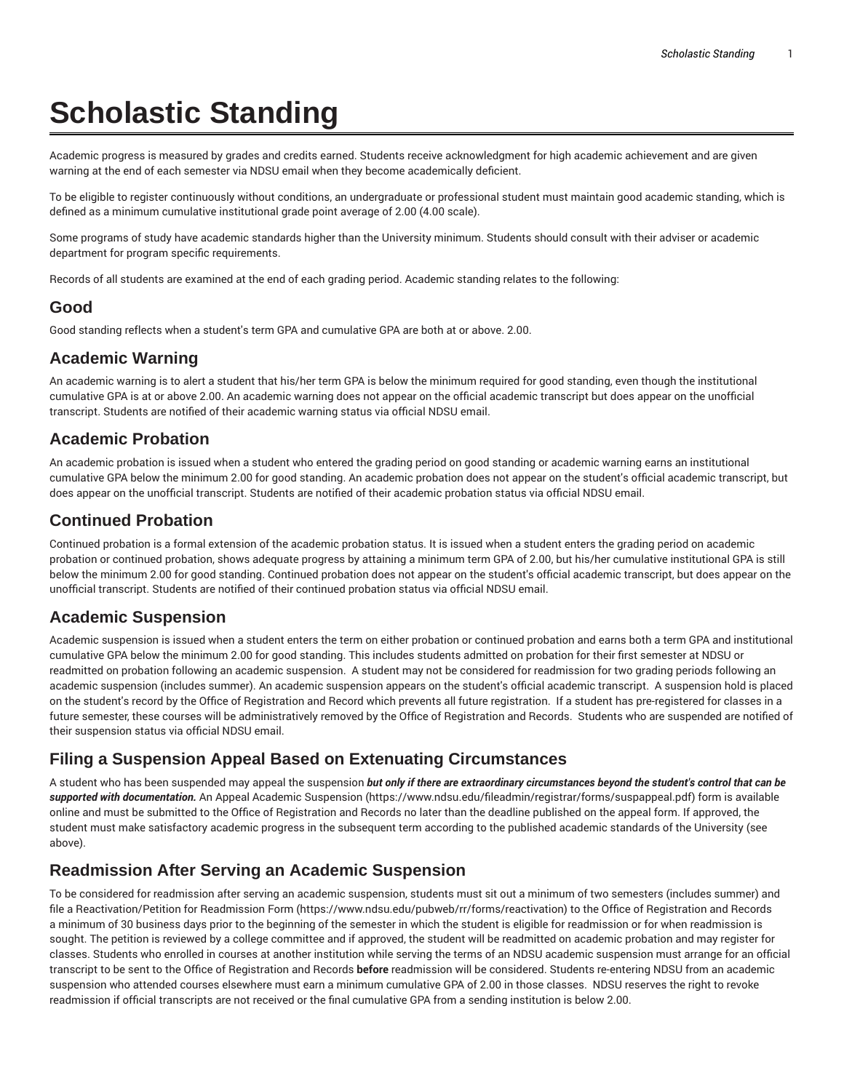# **Scholastic Standing**

Academic progress is measured by grades and credits earned. Students receive acknowledgment for high academic achievement and are given warning at the end of each semester via NDSU email when they become academically deficient.

To be eligible to register continuously without conditions, an undergraduate or professional student must maintain good academic standing, which is defined as a minimum cumulative institutional grade point average of 2.00 (4.00 scale).

Some programs of study have academic standards higher than the University minimum. Students should consult with their adviser or academic department for program specific requirements.

Records of all students are examined at the end of each grading period. Academic standing relates to the following:

## **Good**

Good standing reflects when a student's term GPA and cumulative GPA are both at or above. 2.00.

#### **Academic Warning**

An academic warning is to alert a student that his/her term GPA is below the minimum required for good standing, even though the institutional cumulative GPA is at or above 2.00. An academic warning does not appear on the official academic transcript but does appear on the unofficial transcript. Students are notified of their academic warning status via official NDSU email.

#### **Academic Probation**

An academic probation is issued when a student who entered the grading period on good standing or academic warning earns an institutional cumulative GPA below the minimum 2.00 for good standing. An academic probation does not appear on the student's official academic transcript, but does appear on the unofficial transcript. Students are notified of their academic probation status via official NDSU email.

#### **Continued Probation**

Continued probation is a formal extension of the academic probation status. It is issued when a student enters the grading period on academic probation or continued probation, shows adequate progress by attaining a minimum term GPA of 2.00, but his/her cumulative institutional GPA is still below the minimum 2.00 for good standing. Continued probation does not appear on the student's official academic transcript, but does appear on the unofficial transcript. Students are notified of their continued probation status via official NDSU email.

## **Academic Suspension**

Academic suspension is issued when a student enters the term on either probation or continued probation and earns both a term GPA and institutional cumulative GPA below the minimum 2.00 for good standing. This includes students admitted on probation for their first semester at NDSU or readmitted on probation following an academic suspension. A student may not be considered for readmission for two grading periods following an academic suspension (includes summer). An academic suspension appears on the student's official academic transcript. A suspension hold is placed on the student's record by the Office of Registration and Record which prevents all future registration. If a student has pre-registered for classes in a future semester, these courses will be administratively removed by the Office of Registration and Records. Students who are suspended are notified of their suspension status via official NDSU email.

## **Filing a Suspension Appeal Based on Extenuating Circumstances**

A student who has been suspended may appeal the suspension but only if there are extraordinary circumstances beyond the student's control that can be *supported with documentation.* An Appeal Academic Suspension (https://www.ndsu.edu/fileadmin/registrar/forms/suspappeal.pdf) form is available online and must be submitted to the Office of Registration and Records no later than the deadline published on the appeal form. If approved, the student must make satisfactory academic progress in the subsequent term according to the published academic standards of the University (see above).

## **Readmission After Serving an Academic Suspension**

To be considered for readmission after serving an academic suspension, students must sit out a minimum of two semesters (includes summer) and file a Reactivation/Petition for Readmission Form (https://www.ndsu.edu/pubweb/rr/forms/reactivation) to the Office of Registration and Records a minimum of 30 business days prior to the beginning of the semester in which the student is eligible for readmission or for when readmission is sought. The petition is reviewed by a college committee and if approved, the student will be readmitted on academic probation and may register for classes. Students who enrolled in courses at another institution while serving the terms of an NDSU academic suspension must arrange for an official transcript to be sent to the Office of Registration and Records **before** readmission will be considered. Students re-entering NDSU from an academic suspension who attended courses elsewhere must earn a minimum cumulative GPA of 2.00 in those classes. NDSU reserves the right to revoke readmission if official transcripts are not received or the final cumulative GPA from a sending institution is below 2.00.